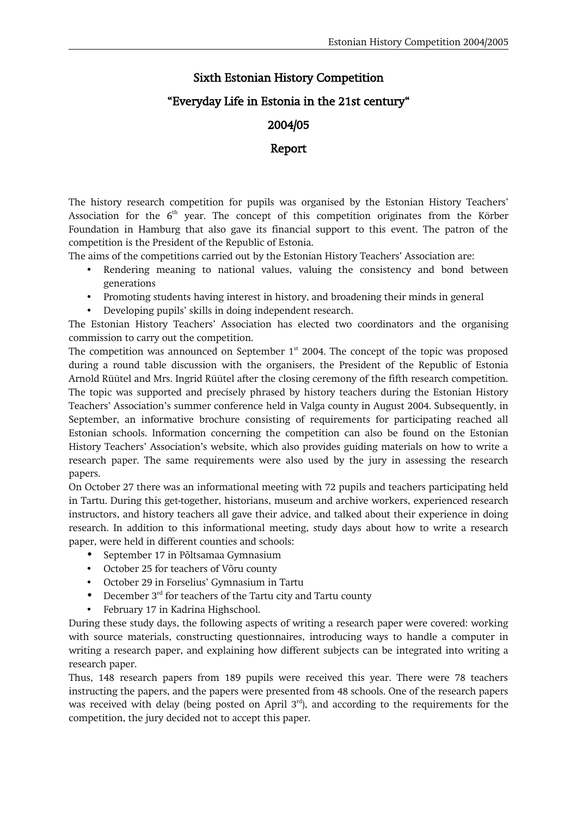## Sixth Estonian History Competition

## "Everyday Life in Estonia in the 21st century"

## 2004/05

## Report

The history research competition for pupils was organised by the Estonian History Teachers' Association for the 6<sup>th</sup> year. The concept of this competition originates from the Körber Foundation in Hamburg that also gave its financial support to this event. The patron of the competition is the President of the Republic of Estonia.

The aims of the competitions carried out by the Estonian History Teachers' Association are:

- Rendering meaning to national values, valuing the consistency and bond between generations
- Promoting students having interest in history, and broadening their minds in general
- Developing pupils' skills in doing independent research.

The Estonian History Teachers' Association has elected two coordinators and the organising commission to carry out the competition.

The competition was announced on September  $1<sup>st</sup>$  2004. The concept of the topic was proposed during a round table discussion with the organisers, the President of the Republic of Estonia Arnold Rüütel and Mrs. Ingrid Rüütel after the closing ceremony of the fifth research competition. The topic was supported and precisely phrased by history teachers during the Estonian History Teachers' Association's summer conference held in Valga county in August 2004. Subsequently, in September, an informative brochure consisting of requirements for participating reached all Estonian schools. Information concerning the competition can also be found on the Estonian History Teachers' Association's website, which also provides guiding materials on how to write a research paper. The same requirements were also used by the jury in assessing the research papers.

On October 27 there was an informational meeting with 72 pupils and teachers participating held in Tartu. During this get-together, historians, museum and archive workers, experienced research instructors, and history teachers all gave their advice, and talked about their experience in doing research. In addition to this informational meeting, study days about how to write a research paper, were held in different counties and schools:

- September 17 in Põltsamaa Gymnasium
- October 25 for teachers of Võru county
- October 29 in Forselius' Gymnasium in Tartu
- December  $3<sup>rd</sup>$  for teachers of the Tartu city and Tartu county
- February 17 in Kadrina Highschool.

During these study days, the following aspects of writing a research paper were covered: working with source materials, constructing questionnaires, introducing ways to handle a computer in writing a research paper, and explaining how different subjects can be integrated into writing a research paper.

Thus, 148 research papers from 189 pupils were received this year. There were 78 teachers instructing the papers, and the papers were presented from 48 schools. One of the research papers was received with delay (being posted on April  $3<sup>rd</sup>$ ), and according to the requirements for the competition, the jury decided not to accept this paper.